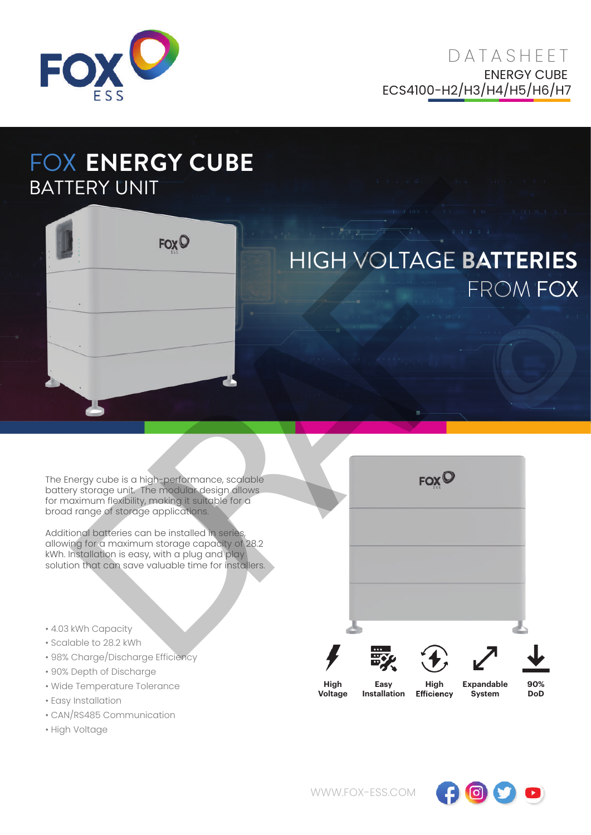

## FOX **ENERGY CUBE** BATTERY UNIT



## HIGH VOLTAGE **BATTERIES** FROM FOX

The Energy cube is a high-performance, scalable battery storage unit. The modular design allows for maximum flexibility, making it suitable for a broad range of storage applications.

Additional batteries can be installed in series, allowing for a maximum storage capacity of 28.2 kWh. Installation is easy, with a plug and play solution that can save valuable time for installers.

- 4.03 kWh Capacity
- Scalable to 28.2 kWh
- 98% Charge/Discharge Efficiency
- 90% Depth of Discharge
- Wide Temperature Tolerance
- Easy Installation
- CAN/RS485 Communication
- High Voltage

| <b>TERY UNIT</b>                                                                                                          | <b>X ENERGY CUBE</b>                                                                                                                                                                                                                                                                                                                                |                 |                                        |             | $\mathbf{T} = \mathbf{0} \quad \mathbf{T} \quad \mathbf{0} \qquad \qquad \mathbf{T} \quad \mathbf{T} \qquad \qquad \mathbf{T} \quad \mathbf{0} \qquad \qquad \mathbf{0} \qquad \qquad \mathbf{0} \qquad \qquad \mathbf{T} \quad \mathbf{1} \qquad \mathbf{0} \qquad \qquad \mathbf{T} \qquad \mathbf{0} \qquad \qquad \mathbf{T} \qquad \mathbf{T} \qquad \qquad \mathbf{T} \qquad \mathbf{T} \qquad \mathbf{T} \qquad \mathbf{T} \qquad \mathbf{T} \qquad \mathbf{T} \qquad \mathbf{T} \qquad \mathbf$ |                   |  |
|---------------------------------------------------------------------------------------------------------------------------|-----------------------------------------------------------------------------------------------------------------------------------------------------------------------------------------------------------------------------------------------------------------------------------------------------------------------------------------------------|-----------------|----------------------------------------|-------------|---------------------------------------------------------------------------------------------------------------------------------------------------------------------------------------------------------------------------------------------------------------------------------------------------------------------------------------------------------------------------------------------------------------------------------------------------------------------------------------------------------|-------------------|--|
|                                                                                                                           | <b>FOXO</b>                                                                                                                                                                                                                                                                                                                                         |                 |                                        |             | $1 \t 0 \t 1 \t 1 \t 0$<br>HIGH VOLTAGE BATTERIES<br>FROM FOX                                                                                                                                                                                                                                                                                                                                                                                                                                           |                   |  |
|                                                                                                                           |                                                                                                                                                                                                                                                                                                                                                     |                 |                                        |             |                                                                                                                                                                                                                                                                                                                                                                                                                                                                                                         |                   |  |
| ad range of storage applications.                                                                                         | Energy cube is a high-performance, scalable<br>tery storage unit. The modular design allows<br>maximum flexibility, making it suitable for a<br>litional batteries can be installed in series,<br>wing for a maximum storage capacity of 28.2<br>1. Installation is easy, with a plug and play<br>ition that can save valuable time for installers. |                 |                                        | <b>FOXO</b> |                                                                                                                                                                                                                                                                                                                                                                                                                                                                                                         |                   |  |
| 3 kWh Capacity<br>alable to 28.2 kWh<br>% Charge/Discharge Efficiency<br>% Depth of Discharge<br>de Temperature Tolerance |                                                                                                                                                                                                                                                                                                                                                     | High<br>Voltage | Easy<br><b>Installation Efficiency</b> | High        | <b>Expandable</b><br>System                                                                                                                                                                                                                                                                                                                                                                                                                                                                             | 90%<br><b>DoD</b> |  |